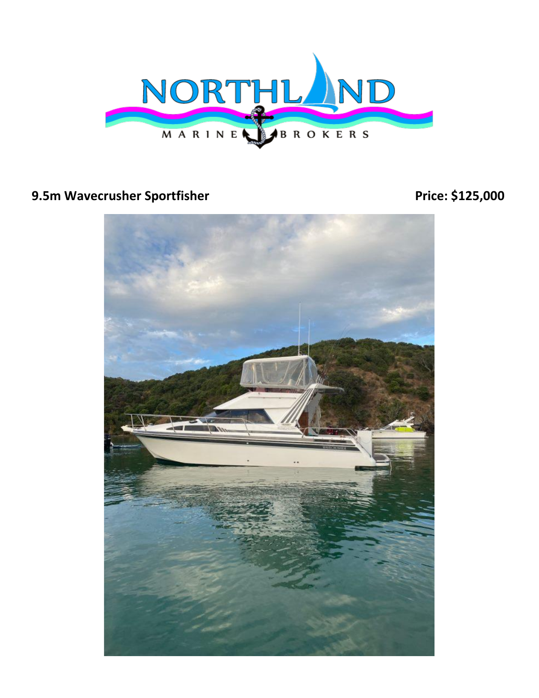

## **9.5m Wavecrusher Sportfisher Price: \$125,000 Price: \$125,000**